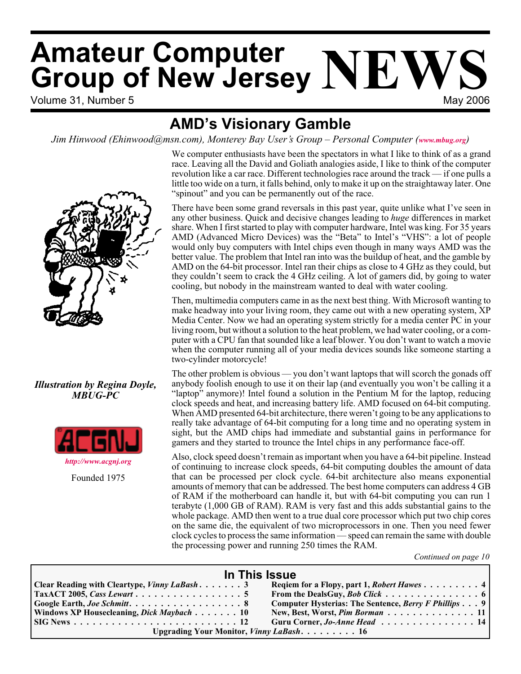# Volume 31, Number 5 May 2006 **Amateur Computer Group of New Jersey NEWS**

# **AMD's Visionary Gamble**

*Jim Hinwood (Ehinwood@msn.com), Monterey Bay User's Group – Personal Computer ([www.mbug.org](http://www.mbug.org))*



# *Illustration by Regina Doyle, MBUG-PC*



Founded 1975

We computer enthusiasts have been the spectators in what I like to think of as a grand race. Leaving all the David and Goliath analogies aside, I like to think of the computer revolution like a car race. Different technologies race around the track — if one pulls a little too wide on a turn, it falls behind, only to make it up on the straightaway later. One "spinout" and you can be permanently out of the race.

There have been some grand reversals in this past year, quite unlike what I've seen in any other business. Quick and decisive changes leading to *huge* differences in market share. When I first started to play with computer hardware, Intel was king. For 35 years AMD (Advanced Micro Devices) was the "Beta" to Intel's "VHS": a lot of people would only buy computers with Intel chips even though in many ways AMD was the better value. The problem that Intel ran into was the buildup of heat, and the gamble by AMD on the 64-bit processor. Intel ran their chips as close to 4 GHz as they could, but they couldn't seem to crack the 4 GHz ceiling. A lot of gamers did, by going to water cooling, but nobody in the mainstream wanted to deal with water cooling.

Then, multimedia computers came in as the next best thing. With Microsoft wanting to make headway into your living room, they came out with a new operating system,  $\overline{XP}$ Media Center. Now we had an operating system strictly for a media center PC in your living room, but without a solution to the heat problem, we had water cooling, or a computer with a CPU fan that sounded like a leaf blower. You don't want to watch a movie when the computer running all of your media devices sounds like someone starting a two-cylinder motorcycle!

The other problem is obvious — you don't want laptops that will scorch the gonads off anybody foolish enough to use it on their lap (and eventually you won't be calling it a "laptop" anymore)! Intel found a solution in the Pentium M for the laptop, reducing clock speeds and heat, and increasing battery life. AMD focused on 64-bit computing. When AMD presented 64-bit architecture, there weren't going to be any applications to really take advantage of 64-bit computing for a long time and no operating system in sight, but the AMD chips had immediate and substantial gains in performance for gamers and they started to trounce the Intel chips in any performance face-off.

Also, clock speed doesn't remain as important when you have a 64-bit pipeline. Instead of continuing to increase clock speeds, 64-bit computing doubles the amount of data that can be processed per clock cycle. 64-bit architecture also means exponential amounts of memory that can be addressed. The best home computers can address 4 GB of RAM if the motherboard can handle it, but with 64-bit computing you can run 1 terabyte (1,000 GB of RAM). RAM is very fast and this adds substantial gains to the whole package. AMD then went to a true dual core processor which put two chip cores on the same die, the equivalent of two microprocessors in one. Then you need fewer clock cycles to process the same information — speed can remain the same with double the processing power and running 250 times the RAM.

*Continued on page 10*

| In This Issue                                       |                                                      |  |  |  |
|-----------------------------------------------------|------------------------------------------------------|--|--|--|
| <b>Clear Reading with Cleartype, Vinny LaBash</b> 3 | Reqiem for a Flopy, part 1, Robert Hawes 4           |  |  |  |
| $\vert$ TaxACT 2005, Cass Lewart 5                  | From the DealsGuy, <i>Bob Click</i> 6                |  |  |  |
| Google Earth, Joe Schmitt. 8                        | Computer Hysterias: The Sentence, Berry F Phillips 9 |  |  |  |
| Windows XP Housecleaning, Dick Maybach 10           | New, Best, Worst, Pim Borman 11                      |  |  |  |
|                                                     | Guru Corner, Jo-Anne Head $\ldots$ ,  14             |  |  |  |
| Upgrading Your Monitor, Vinny LaBash. 16            |                                                      |  |  |  |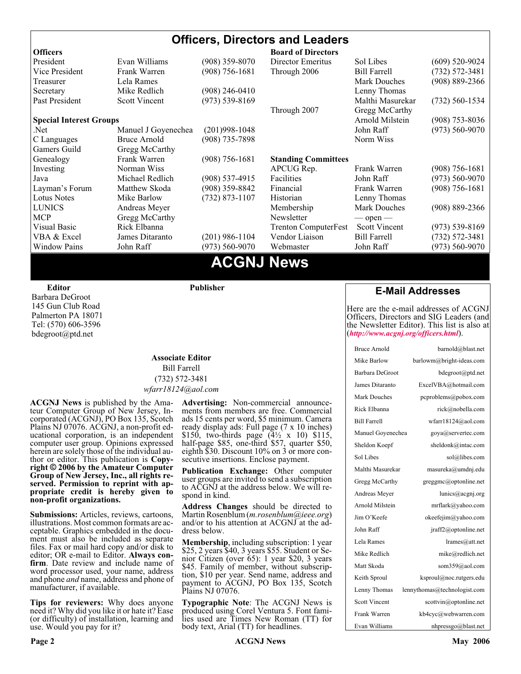### **Officers, Directors and Leaders Officers Board of Directors**<br> **President** Evan Williams (908) 359-8070 Director Emeritus (908) 359-8070 Director Emeritus Sol Libes (609) 520-9024 Vice President Frank Warren (908) 756-1681 Through 2006 Bill Farrell (732) 572-3481 Treasurer Lela Rames Lela Annes (908) 889-2366 Secretary Mike Redlich (908) 246-0410 Lenny Thomas Past President Scott Vincent (973) 539-8169 Malthi Masurekar (732) 560-1534 Through 2007 Gregg McCarthy **Special Interest Groups Arnold Milstein** (908) 753-8036 Net 1973) Manuel J Goyenechea (201)998-1048<br>C Languages Bruce Arnold (908) 735-7898 100 Norm Wiss C Languages Bruce Arnold (908) 735-7898 Gamers Guild Gregg McCarthy Genealogy Frank Warren (908) 756-1681 **Standing Committees** Investing Norman Wiss APCUG Rep. Frank Warren (908) 756-1681<br>Java Michael Redlich (908) 537-4915 Facilities John Raff (973) 560-9070 Java Michael Redlich (908) 537-4915 Facilities John Raff (973) 560-9070 Layman's Forum Matthew Skoda (908) 359-8842 Financial Frank Warren (908) 756-1681 Lotus Notes Mike Barlow (732) 873-1107 Historian Lenny Thomas LUNICS Andreas Meyer Membership Mark Douches (908) 889-2366 MCP Gregg McCarthy Newsletter — open — Visual Basic Rick Elbanna Trenton ComputerFest Scott Vincent (973) 539-8169 VBA & Excel James Ditaranto (201) 986-1104 Vendor Liaison Bill Farrell (732) 572-3481 Window Pains John Raff (973) 560-9070 Webmaster John Raff (973) 560-9070

# **ACGNJ News**

**Editor**

Barbara DeGroot 145 Gun Club Road Palmerton PA 18071 Tel: (570) 606-3596 bdegroot@ptd.net

### **Associate Editor** Bill Farrell (732) 572-3481 *wfarr18124@aol.com*

**Publisher**

**ACGNJ News** is published by the Ama- teur Computer Group of New Jersey, In- corporated (ACGNJ), PO Box 135, Scotch Plains NJ 07076. ACGNJ, a non-profit ed-<br>ucational corporation, is an independent computer user group. Opinions expressed<br>herein are solely those of the individual author or editor. This publication is **Copy-**<br>right © 2006 by the Amateur Computer<br>Group of New Jersey, Inc., all rights re-**Group of New Jersey, Inc., all rights re- served. Permission to reprint with ap- propriate credit is hereby given to non-profit organizations.**

**Submissions:** Articles, reviews, cartoons, illustrations. Most common formats are acceptable. Graphics embedded in the docu-<br>ment must also be included as separate files. Fax or mail hard copy and/or disk to editor: OR e-mail to Editor. **Always con**firm. Date review and include name of word processor used, your name, address and phone *and* name, address and phone of manufacturer, if available.

**Tips for reviewers:** Why does anyone need it? Why did you like it or hate it? Ease (or difficulty) of installation, learning and use. Would you pay for it?

**Advertising:** Non-commercial announce- ments from members are free. Commercial ads 15 cents per word, \$5 minimum. Camera ready display ads: Full page (7 x 10 inches) \$150, two-thirds page (4½ x 10) \$115, half-page \$85, one-third \$57, quarter \$50, eighth \$30. Discount 10% on 3 or more con- secutive insertions. Enclose payment.

**Publication Exchange:** Other computer user groups are invited to send a subscription to ACGNJ at the address below. We will re- spond in kind.

**Address Changes** should be directed to Martin Rosenblum (*m.rosenblum@ieee.org*) and/or to his attention at ACGNJ at the ad- dress below.

**Membership**, including subscription: 1 year \$25, 2 years \$40, 3 years \$55. Student or Senior Citizen (over 65): 1 year \$20, 3 years \$45. Family of member, without subscription, \$10 per year. Send name, address and payment to ACGNJ, PO Box 135, Scotch Plains NJ 07076.

**Typographic Note**: The ACGNJ News is produced using Corel Ventura 5. Font fami- lies used are Times New Roman (TT) for body text, Arial (TT) for headlines.

# **E-Mail Addresses**

Here are the e-mail addresses of ACGNJ Officers, Directors and SIG Leaders (and the Newsletter Editor). This list is also at (*<http://www.acgnj.org/officers.html>*).

| Bruce Arnold         | barnold@blast.net            |
|----------------------|------------------------------|
| Mike Barlow          | barlowm@bright-ideas.com     |
| Barbara DeGroot      | bdegroot@ptd.net             |
| James Ditaranto      | ExcelVBA@hotmail.com         |
| Mark Douches         | pcproblems@pobox.com         |
| Rick Elbanna         | rick@nobella.com             |
| <b>Bill Farrell</b>  | wfarr18124@aol.com           |
| Manuel Goyenechea    | goya@servertec.com           |
| Sheldon Koepf        | sheldonk@intac.com           |
| Sol Libes            | sol@libes.com                |
| Malthi Masurekar     | masureka@umdnj.edu           |
| Gregg McCarthy       | greggmc@optonline.net        |
| Andreas Meyer        | lunics@acgnj.org             |
| Arnold Milstein      | mrflark@yahoo.com            |
| Jim O'Keefe          | okeefejim@yahoo.com          |
| John Raff            | jraff2@optonline.net         |
| Lela Rames           | lrames@att.net               |
| Mike Redlich         | mike@redlich.net             |
| Matt Skoda           | som359@aol.com               |
| Keith Sproul         | ksproul@noc.rutgers.edu      |
| Lenny Thomas         | lennythomas@technologist.com |
| <b>Scott Vincent</b> | scottvin@optonline.net       |
| Frank Warren         | kb4cyc@webwarren.com         |
| Evan Williams        | nhpressgo@blast.net          |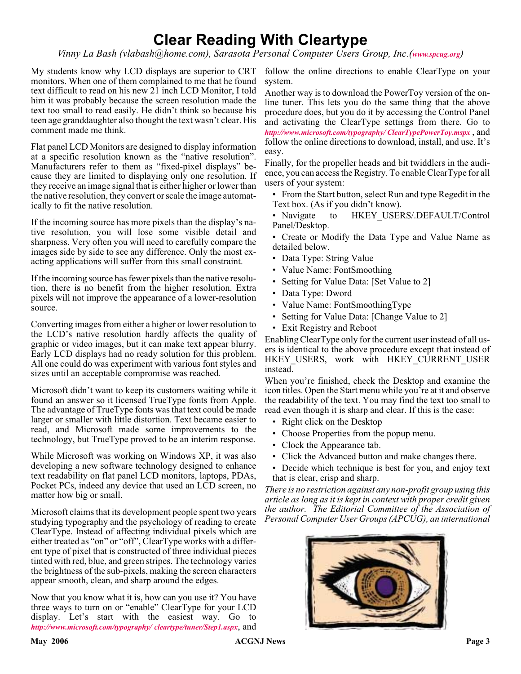# **Clear Reading With Cleartype**

*Vinny La Bash (vlabash@home.com), Sarasota Personal Computer Users Group, Inc.([www.spcug.org](http://www.spcug.org))*

My students know why LCD displays are superior to CRT follow the online directions to enable ClearType on your monitors. When one of them complained to me that he found text difficult to read on his new 21 inch LCD Monitor, I told him it was probably because the screen resolution made the text too small to read easily. He didn't think so because his teen age granddaughter also thought the text wasn't clear. His comment made me think.

Flat panel LCD Monitors are designed to display information at a specific resolution known as the "native resolution". Manufacturers refer to them as "fixed-pixel displays" because they are limited to displaying only one resolution. If they receive an image signal that is either higher or lower than the native resolution, they convert or scale the image automatically to fit the native resolution.

If the incoming source has more pixels than the display's native resolution, you will lose some visible detail and sharpness. Very often you will need to carefully compare the images side by side to see any difference. Only the most exacting applications will suffer from this small constraint.

If the incoming source has fewer pixels than the native resolution, there is no benefit from the higher resolution. Extra pixels will not improve the appearance of a lower-resolution source.

Converting images from either a higher or lower resolution to the LCD's native resolution hardly affects the quality of graphic or video images, but it can make text appear blurry. Early LCD displays had no ready solution for this problem. All one could do was experiment with various font styles and sizes until an acceptable compromise was reached.

Microsoft didn't want to keep its customers waiting while it found an answer so it licensed TrueType fonts from Apple. The advantage of TrueType fonts was that text could be made larger or smaller with little distortion. Text became easier to read, and Microsoft made some improvements to the technology, but TrueType proved to be an interim response.

While Microsoft was working on Windows XP, it was also developing a new software technology designed to enhance text readability on flat panel LCD monitors, laptops, PDAs, Pocket PCs, indeed any device that used an LCD screen, no matter how big or small.

Microsoft claims that its development people spent two years studying typography and the psychology of reading to create ClearType. Instead of affecting individual pixels which are either treated as "on" or "off", ClearType works with a different type of pixel that is constructed of three individual pieces tinted with red, blue, and green stripes. The technology varies the brightness of the sub-pixels, making the screen characters appear smooth, clean, and sharp around the edges.

Now that you know what it is, how can you use it? You have three ways to turn on or "enable" ClearType for your LCD display. Let's start with the easiest way. Go to *<http://www.microsoft.com/typography/ cleartype/tuner/Step1.aspx>*, and

system.

Another way is to download the PowerToy version of the online tuner. This lets you do the same thing that the above procedure does, but you do it by accessing the Control Panel and activating the ClearType settings from there. Go to *<http://www.microsoft.com/typography/ ClearTypePowerToy.mspx>* , and follow the online directions to download, install, and use. It's easy.

Finally, for the propeller heads and bit twiddlers in the audience, you can access the Registry. To enable ClearType for all users of your system:

- From the Start button, select Run and type Regedit in the Text box. (As if you didn't know).
- Navigate to HKEY USERS/.DEFAULT/Control Panel/Desktop.
- Create or Modify the Data Type and Value Name as detailed below.
- Data Type: String Value
- Value Name: FontSmoothing
- Setting for Value Data: [Set Value to 2]
- Data Type: Dword
- Value Name: FontSmoothingType
- Setting for Value Data: [Change Value to 2]
- Exit Registry and Reboot

Enabling ClearType only for the current user instead of all users is identical to the above procedure except that instead of HKEY USERS, work with HKEY CURRENT USER instead.

When you're finished, check the Desktop and examine the icon titles. Open the Start menu while you're at it and observe the readability of the text. You may find the text too small to read even though it is sharp and clear. If this is the case:

- Right click on the Desktop
- Choose Properties from the popup menu.
- Clock the Appearance tab.
- Click the Advanced button and make changes there.
- Decide which technique is best for you, and enjoy text that is clear, crisp and sharp.

*There is no restriction against any non-profit group using this article as long as it is kept in context with proper credit given the author. The Editorial Committee of the Association of Personal Computer User Groups (APCUG), an international*

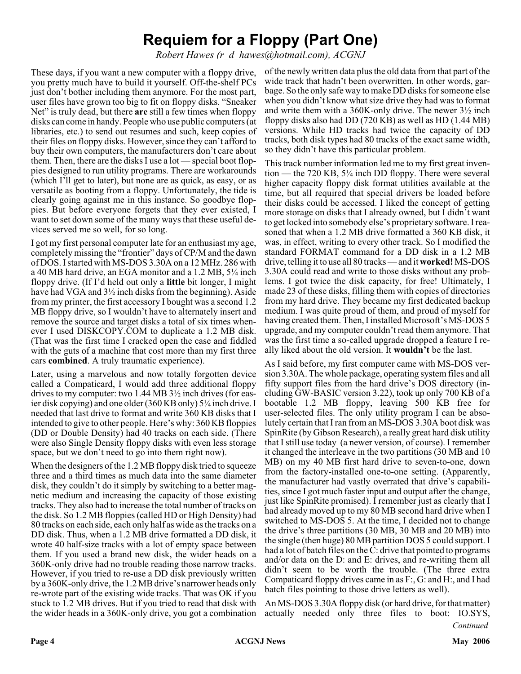# **Requiem for a Floppy (Part One)**

*Robert Hawes (r\_d\_hawes@hotmail.com), ACGNJ*

These days, if you want a new computer with a floppy drive, you pretty much have to build it yourself. Off-the-shelf PCs just don't bother including them anymore. For the most part, user files have grown too big to fit on floppy disks. "Sneaker Net" is truly dead, but there **are** still a few times when floppy disks can come in handy. People who use public computers (at libraries, etc.) to send out resumes and such, keep copies of their files on floppy disks. However, since they can't afford to buy their own computers, the manufacturers don't care about them. Then, there are the disks I use a lot — special boot floppies designed to run utility programs. There are workarounds (which I'll get to later), but none are as quick, as easy, or as versatile as booting from a floppy. Unfortunately, the tide is clearly going against me in this instance. So goodbye floppies. But before everyone forgets that they ever existed, I want to set down some of the many ways that these useful devices served me so well, for so long.

I got my first personal computer late for an enthusiast my age, completely missing the "frontier" days of CP/M and the dawn of DOS. I started with MS-DOS 3.30A on a 12 MHz. 286 with a 40 MB hard drive, an EGA monitor and a 1.2 MB, 5¼ inch floppy drive. (If I'd held out only a **little** bit longer, I might have had VGA and 3½ inch disks from the beginning). Aside from my printer, the first accessory I bought was a second 1.2 MB floppy drive, so I wouldn't have to alternately insert and remove the source and target disks a total of six times whenever I used DISKCOPY.COM to duplicate a 1.2 MB disk. (That was the first time I cracked open the case and fiddled with the guts of a machine that cost more than my first three cars **combined**. A truly traumatic experience).

Later, using a marvelous and now totally forgotten device called a Compaticard, I would add three additional floppy drives to my computer: two 1.44 MB 3½ inch drives (for easier disk copying) and one older (360 KB only) 5¼ inch drive. I needed that last drive to format and write 360 KB disks that I intended to give to other people. Here's why: 360 KB floppies (DD or Double Density) had 40 tracks on each side. (There were also Single Density floppy disks with even less storage space, but we don't need to go into them right now).

When the designers of the 1.2 MB floppy disk tried to squeeze three and a third times as much data into the same diameter disk, they couldn't do it simply by switching to a better magnetic medium and increasing the capacity of those existing tracks. They also had to increase the total number of tracks on the disk. So 1.2 MB floppies (called HD or High Density) had 80 tracks on each side, each only half as wide as the tracks on a DD disk. Thus, when a 1.2 MB drive formatted a DD disk, it wrote 40 half-size tracks with a lot of empty space between them. If you used a brand new disk, the wider heads on a 360K-only drive had no trouble reading those narrow tracks. However, if you tried to re-use a DD disk previously written by a 360K-only drive, the 1.2 MB drive's narrower heads only re-wrote part of the existing wide tracks. That was OK if you stuck to 1.2 MB drives. But if you tried to read that disk with the wider heads in a 360K-only drive, you got a combination

of the newly written data plus the old data from that part of the wide track that hadn't been overwritten. In other words, garbage. So the only safe way to make DD disks for someone else when you didn't know what size drive they had was to format and write them with a 360K-only drive. The newer 3½ inch floppy disks also had DD (720 KB) as well as HD (1.44 MB) versions. While HD tracks had twice the capacity of DD tracks, both disk types had 80 tracks of the exact same width, so they didn't have this particular problem.

This track number information led me to my first great invention — the 720 KB, 5¼ inch DD floppy. There were several higher capacity floppy disk format utilities available at the time, but all required that special drivers be loaded before their disks could be accessed. I liked the concept of getting more storage on disks that I already owned, but I didn't want to get locked into somebody else's proprietary software. I reasoned that when a 1.2 MB drive formatted a 360 KB disk, it was, in effect, writing to every other track. So I modified the standard FORMAT command for a DD disk in a 1.2 MB drive, telling it to use all 80 tracks — and it **worked!** MS-DOS 3.30A could read and write to those disks without any problems. I got twice the disk capacity, for free! Ultimately, I made 23 of these disks, filling them with copies of directories from my hard drive. They became my first dedicated backup medium. I was quite proud of them, and proud of myself for having created them. Then, I installed Microsoft's MS-DOS 5 upgrade, and my computer couldn't read them anymore. That was the first time a so-called upgrade dropped a feature I really liked about the old version. It **wouldn't** be the last.

As I said before, my first computer came with MS-DOS version 3.30A. The whole package, operating system files and all fifty support files from the hard drive's DOS directory (including GW-BASIC version 3.22), took up only 700 KB of a bootable 1.2 MB floppy, leaving 500 KB free for user-selected files. The only utility program I can be absolutely certain that I ran from an MS-DOS 3.30A boot disk was SpinRite (by Gibson Research), a really great hard disk utility that I still use today (a newer version, of course). I remember it changed the interleave in the two partitions (30 MB and 10 MB) on my 40 MB first hard drive to seven-to-one, down from the factory-installed one-to-one setting. (Apparently, the manufacturer had vastly overrated that drive's capabilities, since I got much faster input and output after the change, just like SpinRite promised). I remember just as clearly that I had already moved up to my 80 MB second hard drive when I switched to MS-DOS 5. At the time, I decided not to change the drive's three partitions (30 MB, 30 MB and 20 MB) into the single (then huge) 80 MB partition DOS 5 could support. I had a lot of batch files on the C: drive that pointed to programs and/or data on the D: and E: drives, and re-writing them all didn't seem to be worth the trouble. (The three extra Compaticard floppy drives came in as F:, G: and H:, and I had batch files pointing to those drive letters as well).

An MS-DOS 3.30A floppy disk (or hard drive, for that matter) actually needed only three files to boot: IO.SYS,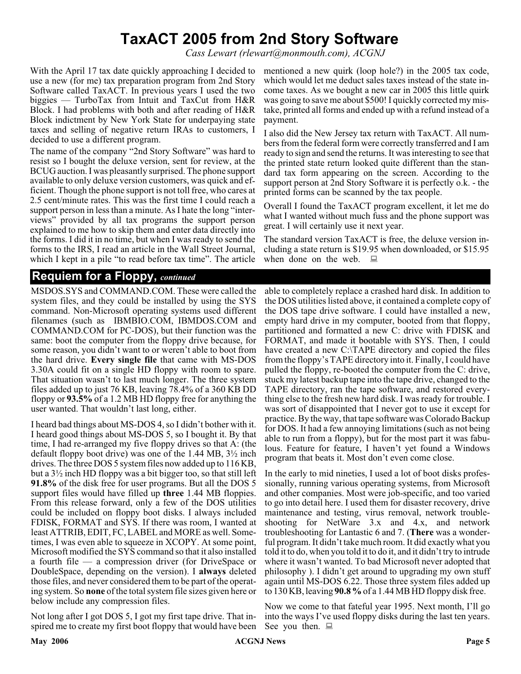# **TaxACT 2005 from 2nd Story Software**

*Cass Lewart (rlewart@monmouth.com), ACGNJ*

With the April 17 tax date quickly approaching I decided to mentioned a new quirk (loop hole?) in the 2005 tax code, use a new (for me) tax preparation program from 2nd Story Software called TaxACT. In previous years I used the two biggies — TurboTax from Intuit and TaxCut from H&R Block. I had problems with both and after reading of H&R Block indictment by New York State for underpaying state taxes and selling of negative return IRAs to customers, I decided to use a different program.

The name of the company "2nd Story Software" was hard to resist so I bought the deluxe version, sent for review, at the BCUG auction. I was pleasantly surprised. The phone support available to only deluxe version customers, was quick and efficient. Though the phone support is not toll free, who cares at 2.5 cent/minute rates. This was the first time I could reach a support person in less than a minute. As I hate the long "interviews" provided by all tax programs the support person explained to me how to skip them and enter data directly into the forms. I did it in no time, but when I was ready to send the forms to the IRS, I read an article in the Wall Street Journal, which I kept in a pile "to read before tax time". The article

# **Requiem for a Floppy,** *continued*

MSDOS.SYS and COMMAND.COM. These were called the system files, and they could be installed by using the SYS command. Non-Microsoft operating systems used different filenames (such as IBMBIO.COM, IBMDOS.COM and COMMAND.COM for PC-DOS), but their function was the same: boot the computer from the floppy drive because, for some reason, you didn't want to or weren't able to boot from the hard drive. **Every single file** that came with MS-DOS 3.30A could fit on a single HD floppy with room to spare. That situation wasn't to last much longer. The three system files added up to just 76 KB, leaving 78.4% of a 360 KB DD floppy or **93.5%** of a 1.2 MB HD floppy free for anything the user wanted. That wouldn't last long, either.

I heard bad things about MS-DOS 4, so I didn't bother with it. I heard good things about MS-DOS 5, so I bought it. By that time, I had re-arranged my five floppy drives so that A: (the default floppy boot drive) was one of the 1.44 MB, 3½ inch drives. The three DOS 5 system files now added up to 116 KB, but a 3½ inch HD floppy was a bit bigger too, so that still left **91.8%** of the disk free for user programs. But all the DOS 5 support files would have filled up **three** 1.44 MB floppies. From this release forward, only a few of the DOS utilities could be included on floppy boot disks. I always included FDISK, FORMAT and SYS. If there was room, I wanted at least ATTRIB, EDIT, FC, LABEL and MORE as well. Sometimes, I was even able to squeeze in XCOPY. At some point, Microsoft modified the SYS command so that it also installed a fourth file — a compression driver (for DriveSpace or DoubleSpace, depending on the version). I **always** deleted those files, and never considered them to be part of the operating system. So **none** of the total system file sizes given here or below include any compression files.

Not long after I got DOS 5, I got my first tape drive. That inspired me to create my first boot floppy that would have been

which would let me deduct sales taxes instead of the state income taxes. As we bought a new car in 2005 this little quirk was going to save me about \$500! I quickly corrected my mistake, printed all forms and ended up with a refund instead of a payment.

I also did the New Jersey tax return with TaxACT. All numbers from the federal form were correctly transferred and I am ready to sign and send the returns. It was interesting to see that the printed state return looked quite different than the standard tax form appearing on the screen. According to the support person at 2nd Story Software it is perfectly o.k. - the printed forms can be scanned by the tax people.

Overall I found the TaxACT program excellent, it let me do what I wanted without much fuss and the phone support was great. I will certainly use it next year.

The standard version TaxACT is free, the deluxe version including a state return is \$19.95 when downloaded, or \$15.95 when done on the web.  $\Box$ 

able to completely replace a crashed hard disk. In addition to the DOS utilities listed above, it contained a complete copy of the DOS tape drive software. I could have installed a new, empty hard drive in my computer, booted from that floppy, partitioned and formatted a new C: drive with FDISK and FORMAT, and made it bootable with SYS. Then, I could have created a new C:\TAPE directory and copied the files from the floppy's TAPE directory into it. Finally, I could have pulled the floppy, re-booted the computer from the C: drive, stuck my latest backup tape into the tape drive, changed to the TAPE directory, ran the tape software, and restored everything else to the fresh new hard disk. I was ready for trouble. I was sort of disappointed that I never got to use it except for practice. By the way, that tape software was Colorado Backup for DOS. It had a few annoying limitations (such as not being able to run from a floppy), but for the most part it was fabulous. Feature for feature, I haven't yet found a Windows program that beats it. Most don't even come close.

In the early to mid nineties, I used a lot of boot disks professionally, running various operating systems, from Microsoft and other companies. Most were job-specific, and too varied to go into detail here. I used them for disaster recovery, drive maintenance and testing, virus removal, network troubleshooting for NetWare 3.x and 4.x, and network troubleshooting for Lantastic 6 and 7. (**There** was a wonderful program. It didn't take much room. It did exactly what you told it to do, when you told it to do it, and it didn't try to intrude where it wasn't wanted. To bad Microsoft never adopted that philosophy ). I didn't get around to upgrading my own stuff again until MS-DOS 6.22. Those three system files added up to 130 KB, leaving **90.8 %**of a 1.44 MB HD floppy disk free.

Now we come to that fateful year 1995. Next month, I'll go into the ways I've used floppy disks during the last ten years. See you then.  $\Box$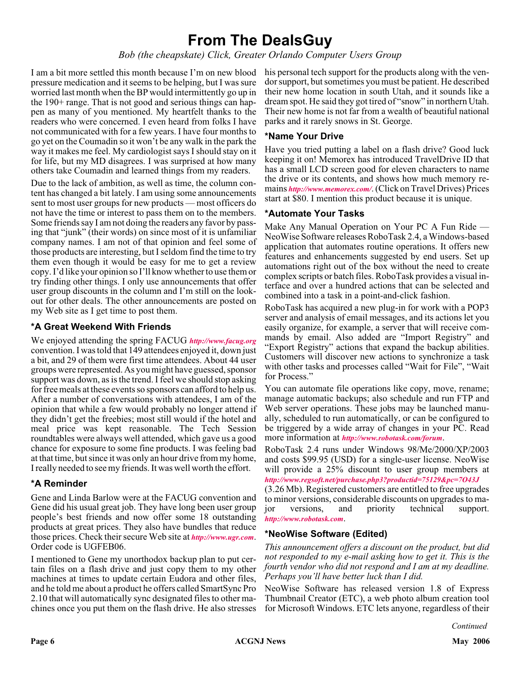# **From The DealsGuy**

*Bob (the cheapskate) Click, Greater Orlando Computer Users Group*

I am a bit more settled this month because I'm on new blood pressure medication and it seems to be helping, but I was sure worried last month when the BP would intermittently go up in the 190+ range. That is not good and serious things can happen as many of you mentioned. My heartfelt thanks to the readers who were concerned. I even heard from folks I have not communicated with for a few years. I have four months to go yet on the Coumadin so it won't be any walk in the park the way it makes me feel. My cardiologist says I should stay on it for life, but my MD disagrees. I was surprised at how many others take Coumadin and learned things from my readers.

Due to the lack of ambition, as well as time, the column content has changed a bit lately. I am using some announcements sent to most user groups for new products — most officers do not have the time or interest to pass them on to the members. Some friends say I am not doing the readers any favor by passing that "junk" (their words) on since most of it is unfamiliar company names. I am not of that opinion and feel some of those products are interesting, but I seldom find the time to try them even though it would be easy for me to get a review copy. I'd like your opinion so I'll know whether to use them or try finding other things. I only use announcements that offer user group discounts in the column and I'm still on the lookout for other deals. The other announcements are posted on my Web site as I get time to post them.

## **\*A Great Weekend With Friends**

We enjoyed attending the spring FACUG *<http://www.facug.org>* convention. I was told that 149 attendees enjoyed it, down just a bit, and 29 of them were first time attendees. About 44 user groups were represented. As you might have guessed, sponsor support was down, as is the trend. I feel we should stop asking for free meals at these events so sponsors can afford to help us. After a number of conversations with attendees, I am of the opinion that while a few would probably no longer attend if they didn't get the freebies; most still would if the hotel and meal price was kept reasonable. The Tech Session roundtables were always well attended, which gave us a good chance for exposure to some fine products. I was feeling bad at that time, but since it was only an hour drive from my home, I really needed to see my friends. It was well worth the effort.

### **\*A Reminder**

Gene and Linda Barlow were at the FACUG convention and Gene did his usual great job. They have long been user group people's best friends and now offer some 18 outstanding products at great prices. They also have bundles that reduce those prices. Check their secure Web site at *<http://www.ugr.com>*. Order code is UGFEB06.

I mentioned to Gene my unorthodox backup plan to put certain files on a flash drive and just copy them to my other machines at times to update certain Eudora and other files, and he told me about a product he offers called SmartSync Pro 2.10 that will automatically sync designated files to other machines once you put them on the flash drive. He also stresses

his personal tech support for the products along with the vendor support, but sometimes you must be patient. He described their new home location in south Utah, and it sounds like a dream spot. He said they got tired of "snow" in northern Utah. Their new home is not far from a wealth of beautiful national parks and it rarely snows in St. George.

### **\*Name Your Drive**

Have you tried putting a label on a flash drive? Good luck keeping it on! Memorex has introduced TravelDrive ID that has a small LCD screen good for eleven characters to name the drive or its contents, and shows how much memory remains *<http://www.memorex.com/>*. (Click on Travel Drives) Prices start at \$80. I mention this product because it is unique.

### **\*Automate Your Tasks**

Make Any Manual Operation on Your PC A Fun Ride — NeoWise Software releases RoboTask 2.4, a Windows-based application that automates routine operations. It offers new features and enhancements suggested by end users. Set up automations right out of the box without the need to create complex scripts or batch files. RoboTask provides a visual interface and over a hundred actions that can be selected and combined into a task in a point-and-click fashion.

RoboTask has acquired a new plug-in for work with a POP3 server and analysis of email messages, and its actions let you easily organize, for example, a server that will receive commands by email. Also added are "Import Registry" and "Export Registry" actions that expand the backup abilities. Customers will discover new actions to synchronize a task with other tasks and processes called "Wait for File", "Wait for Process."

You can automate file operations like copy, move, rename; manage automatic backups; also schedule and run FTP and Web server operations. These jobs may be launched manually, scheduled to run automatically, or can be configured to be triggered by a wide array of changes in your PC. Read more information at *<http://www.robotask.com/forum>*.

RoboTask 2.4 runs under Windows 98/Me/2000/XP/2003 and costs \$99.95 (USD) for a single-user license. NeoWise will provide a 25% discount to user group members at *<http://www.regsoft.net/purchase.php3?productid=75129&pc=7O43J>*

(3.26 Mb). Registered customers are entitled to free upgrades to minor versions, considerable discounts on upgrades to major versions, and priority technical support. *<http://www.robotask.com>*.

# **\*NeoWise Software (Edited)**

*This announcement offers a discount on the product, but did not responded to my e-mail asking how to get it. This is the fourth vendor who did not respond and I am at my deadline. Perhaps you'll have better luck than I did.*

NeoWise Software has released version 1.8 of Express Thumbnail Creator (ETC), a web photo album creation tool for Microsoft Windows. ETC lets anyone, regardless of their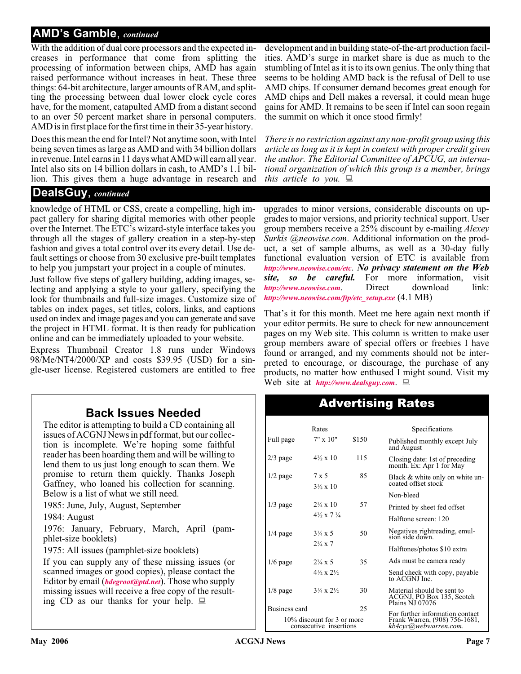# **AMD's Gamble**, *continued*

With the addition of dual core processors and the expected increases in performance that come from splitting the processing of information between chips, AMD has again raised performance without increases in heat. These three things: 64-bit architecture, larger amounts of RAM, and splitting the processing between dual lower clock cycle cores have, for the moment, catapulted AMD from a distant second to an over 50 percent market share in personal computers. AMD is in first place for the first time in their 35-year history.

Does this mean the end for Intel? Not anytime soon, with Intel being seven times as large as AMD and with 34 billion dollars in revenue. Intel earns in 11 days what AMD will earn all year. Intel also sits on 14 billion dollars in cash, to AMD's 1.1 billion. This gives them a huge advantage in research and

# **DealsGuy**, *continued*

knowledge of HTML or CSS, create a compelling, high impact gallery for sharing digital memories with other people over the Internet. The ETC's wizard-style interface takes you through all the stages of gallery creation in a step-by-step fashion and gives a total control over its every detail. Use default settings or choose from 30 exclusive pre-built templates to help you jumpstart your project in a couple of minutes.

Just follow five steps of gallery building, adding images, selecting and applying a style to your gallery, specifying the look for thumbnails and full-size images. Customize size of tables on index pages, set titles, colors, links, and captions used on index and image pages and you can generate and save the project in HTML format. It is then ready for publication online and can be immediately uploaded to your website.

Express Thumbnail Creator 1.8 runs under Windows 98/Me/NT4/2000/XP and costs \$39.95 (USD) for a single-user license. Registered customers are entitled to free

# **Back Issues Needed**

The editor is attempting to build a CD containing all issues of ACGNJ News in pdf format, but our collection is incomplete. We're hoping some faithful reader has been hoarding them and will be willing to lend them to us just long enough to scan them. We promise to return them quickly. Thanks Joseph Gaffney, who loaned his collection for scanning. Below is a list of what we still need.

1985: June, July, August, September

1984: August

1976: January, February, March, April (pamphlet-size booklets)

1975: All issues (pamphlet-size booklets)

If you can supply any of these missing issues (or scanned images or good copies), please contact the Editor by email (*[bdegroot@ptd.net](mailto:bdegroot@ptd.net)*). Those who supply missing issues will receive a free copy of the resulting CD as our thanks for your help.  $\Box$ 

development and in building state-of-the-art production facilities. AMD's surge in market share is due as much to the stumbling of Intel as it is to its own genius. The only thing that seems to be holding AMD back is the refusal of Dell to use AMD chips. If consumer demand becomes great enough for AMD chips and Dell makes a reversal, it could mean huge gains for AMD. It remains to be seen if Intel can soon regain the summit on which it once stood firmly!

*There is no restriction against any non-profit group using this article as long as it is kept in context with proper credit given the author. The Editorial Committee of APCUG, an international organization of which this group is a member, brings this article to you.*

upgrades to minor versions, considerable discounts on upgrades to major versions, and priority technical support. User group members receive a 25% discount by e-mailing *Alexey Surkis @neowise.com*. Additional information on the product, a set of sample albums, as well as a 30-day fully functional evaluation version of ETC is available from *<http://www.neowise.com/etc>*. *No privacy statement on the Web site, so be careful.* For more information, visit *<http://www.neowise.com>*. Direct download link: *[http://www.neowise.com/ftp/etc\\_setup.exe](http://www.neowise.com/ftp/etc_setup.exe)* (4.1 MB)

That's it for this month. Meet me here again next month if your editor permits. Be sure to check for new announcement pages on my Web site. This column is written to make user group members aware of special offers or freebies I have found or arranged, and my comments should not be interpreted to encourage, or discourage, the purchase of any products, no matter how enthused I might sound. Visit my Web site at *<http://www.dealsguy.com>*.

Advertising Rates

|                                                      | Rates                              |       | Specifications                                                             |
|------------------------------------------------------|------------------------------------|-------|----------------------------------------------------------------------------|
| Full page                                            | $7" \times 10"$                    | \$150 | Published monthly except July<br>and August                                |
| $2/3$ page                                           | $4\frac{1}{2} \times 10$           | 115   | Closing date: 1st of preceding<br>month. Ex: Apr 1 for May                 |
| $1/2$ page                                           | 7 x 5<br>$3\frac{1}{2} \times 10$  | 85    | Black & white only on white un-<br>coated offset stock                     |
|                                                      |                                    |       | Non-bleed                                                                  |
| $1/3$ page                                           | $2\frac{1}{4} \times 10$           | 57    | Printed by sheet fed offset                                                |
|                                                      | $4\frac{1}{2} \times 7\frac{1}{4}$ |       | Halftone screen: 120                                                       |
| $1/4$ page                                           | $3\frac{1}{4} \times 5$            | 50    | Negatives rightreading, emul-<br>sion side down.                           |
|                                                      | $2\frac{1}{4} \times 7$            |       | Halftones/photos \$10 extra                                                |
| $1/6$ page                                           | $2\frac{1}{4} \times 5$            | 35    | Ads must be camera ready                                                   |
|                                                      | $4\frac{1}{2} \times 2\frac{1}{2}$ |       | Send check with copy, payable<br>to ACGNJ Inc.                             |
| $1/8$ page                                           | $3\frac{1}{4} \times 2\frac{1}{2}$ | 30    | Material should be sent to<br>ACGNJ, PO Box 135, Scotch<br>Plains NJ 07076 |
| Business card                                        |                                    | 25    | For further information contact                                            |
| 10% discount for 3 or more<br>consecutive insertions |                                    |       | Frank Warren, (908) 756-1681,<br>kb4cyc@webwàrreń.com.                     |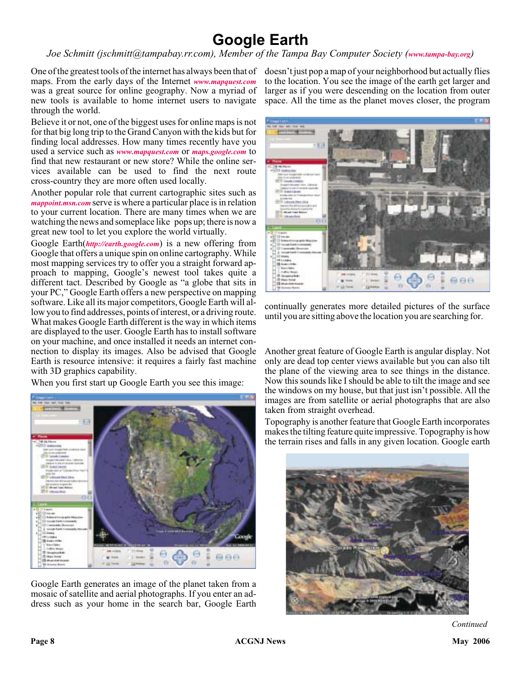# **Google Earth**

*Joe Schmitt (jschmitt@tampabay.rr.com), Member of the Tampa Bay Computer Society ([www.tampa-bay.org](http://www.tampa-bay.org))*

One of the greatest tools of the internet has always been that of doesn't just pop a map of your neighborhood but actually flies maps. From the early days of the Internet *[www.mapquest.com](http://www.mapquest.com)* was a great source for online geography. Now a myriad of new tools is available to home internet users to navigate through the world.

Believe it or not, one of the biggest uses for online maps is not for that big long trip to the Grand Canyon with the kids but for finding local addresses. How many times recently have you used a service such as *[www.mapquest.com](http://www.mapquest.com)* or *[maps.google.com](http://)* to find that new restaurant or new store? While the online services available can be used to find the next route cross-country they are more often used locally.

Another popular role that current cartographic sites such as *[mappoint.msn.com](http://)* serve is where a particular place is in relation to your current location. There are many times when we are watching the news and someplace like pops up; there is now a great new tool to let you explore the world virtually.

Google Earth(*<http://earth.google.com>*) is a new offering from Google that offers a unique spin on online cartography. While most mapping services try to offer you a straight forward approach to mapping, Google's newest tool takes quite a different tact. Described by Google as "a globe that sits in your PC," Google Earth offers a new perspective on mapping software. Like all its major competitors, Google Earth will allow you to find addresses, points of interest, or a driving route. What makes Google Earth different is the way in which items are displayed to the user. Google Earth has to install software on your machine, and once installed it needs an internet connection to display its images. Also be advised that Google Earth is resource intensive: it requires a fairly fast machine with 3D graphics capability.

When you first start up Google Earth you see this image:



Google Earth generates an image of the planet taken from a mosaic of satellite and aerial photographs. If you enter an address such as your home in the search bar, Google Earth

to the location. You see the image of the earth get larger and larger as if you were descending on the location from outer space. All the time as the planet moves closer, the program



continually generates more detailed pictures of the surface until you are sitting above the location you are searching for.

Another great feature of Google Earth is angular display. Not only are dead top center views available but you can also tilt the plane of the viewing area to see things in the distance. Now this sounds like I should be able to tilt the image and see the windows on my house, but that just isn't possible. All the images are from satellite or aerial photographs that are also taken from straight overhead.

Topography is another feature that Google Earth incorporates makes the tilting feature quite impressive. Topography is how the terrain rises and falls in any given location. Google earth

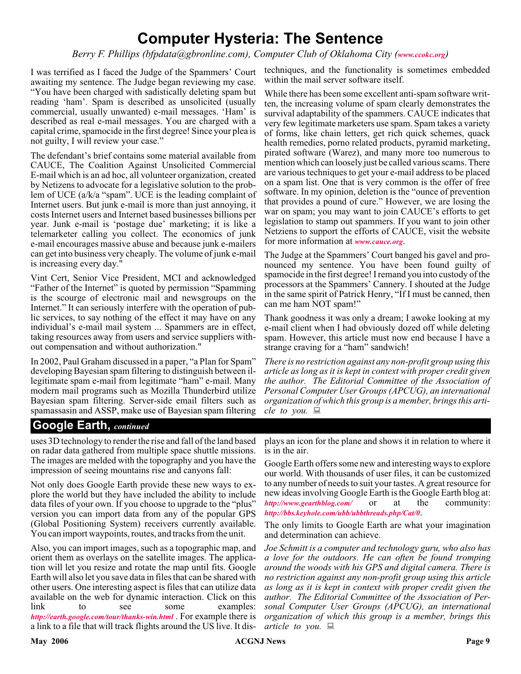# **Computer Hysteria: The Sentence**

*Berry F. Phillips (bfpdata@gbronline.com), Computer Club of Oklahoma City ([www.ccokc.org](http://www.ccokc.org))*

I was terrified as I faced the Judge of the Spammers' Court awaiting my sentence. The Judge began reviewing my case. "You have been charged with sadistically deleting spam but reading 'ham'. Spam is described as unsolicited (usually commercial, usually unwanted) e-mail messages. 'Ham' is described as real e-mail messages. You are charged with a capital crime, spamocide in the first degree! Since your plea is not guilty, I will review your case."

The defendant's brief contains some material available from CAUCE, The Coalition Against Unsolicited Commercial E-mail which is an ad hoc, all volunteer organization, created by Netizens to advocate for a legislative solution to the problem of UCE (a/k/a "spam". UCE is the leading complaint of Internet users. But junk e-mail is more than just annoying, it costs Internet users and Internet based businesses billions per year. Junk e-mail is 'postage due' marketing; it is like a telemarketer calling you collect. The economics of junk e-mail encourages massive abuse and because junk e-mailers can get into business very cheaply. The volume of junk e-mail is increasing every day."

Vint Cert, Senior Vice President, MCI and acknowledged "Father of the Internet" is quoted by permission "Spamming is the scourge of electronic mail and newsgroups on the Internet." It can seriously interfere with the operation of public services, to say nothing of the effect it may have on any individual's e-mail mail system ... Spammers are in effect, taking resources away from users and service suppliers without compensation and without authorization."

In 2002, Paul Graham discussed in a paper, "a Plan for Spam" developing Bayesian spam filtering to distinguish between illegitimate spam e-mail from legitimate "ham" e-mail. Many modern mail programs such as Mozilla Thunderbird utilize Bayesian spam filtering. Server-side email filters such as spamassasin and ASSP, make use of Bayesian spam filtering

techniques, and the functionality is sometimes embedded within the mail server software itself.

While there has been some excellent anti-spam software written, the increasing volume of spam clearly demonstrates the survival adaptability of the spammers. CAUCE indicates that very few legitimate marketers use spam. Spam takes a variety of forms, like chain letters, get rich quick schemes, quack health remedies, porno related products, pyramid marketing, pirated software (Warez), and many more too numerous to mention which can loosely just be called various scams. There are various techniques to get your e-mail address to be placed on a spam list. One that is very common is the offer of free software. In my opinion, deletion is the "ounce of prevention that provides a pound of cure." However, we are losing the war on spam; you may want to join CAUCE's efforts to get legislation to stamp out spammers. If you want to join other Netziens to support the efforts of CAUCE, visit the website for more information at *[www.cauce.org](http://www.cauce.org)*.

The Judge at the Spammers' Court banged his gavel and pronounced my sentence. You have been found guilty of spamocide in the first degree! I remand you into custody of the processors at the Spammers' Cannery. I shouted at the Judge in the same spirit of Patrick Henry, "If I must be canned, then can me ham NOT spam!"

Thank goodness it was only a dream; I awoke looking at my e-mail client when I had obviously dozed off while deleting spam. However, this article must now end because I have a strange craving for a "ham" sandwich!

*There is no restriction against any non-profit group using this article as long as it is kept in context with proper credit given the author. The Editorial Committee of the Association of Personal Computer User Groups (APCUG), an international organization of which this group is a member, brings this article to you.*

# **Google Earth,** *continued*

uses 3D technology to render the rise and fall of the land based on radar data gathered from multiple space shuttle missions. The images are melded with the topography and you have the impression of seeing mountains rise and canyons fall:

Not only does Google Earth provide these new ways to explore the world but they have included the ability to include data files of your own. If you choose to upgrade to the "plus" version you can import data from any of the popular GPS (Global Positioning System) receivers currently available. You can import waypoints, routes, and tracks from the unit.

Also, you can import images, such as a topographic map, and orient them as overlays on the satellite images. The application will let you resize and rotate the map until fits. Google Earth will also let you save data in files that can be shared with other users. One interesting aspect is files that can utilize data available on the web for dynamic interaction. Click on this link to see some examples: *<http://earth.google.com/tour/thanks-win.html>* . For example there is a link to a file that will track flights around the US live. It dis-

plays an icon for the plane and shows it in relation to where it is in the air.

Google Earth offers some new and interesting ways to explore our world. With thousands of user files, it can be customized to any number of needs to suit your tastes. A great resource for new ideas involving Google Earth is the Google Earth blog at: *<http://www.gearthblog.com/>* or at the community: *<http://bbs.keyhole.com/ubb/ubbthreads.php/Cat/0>*.

The only limits to Google Earth are what your imagination and determination can achieve.

*Joe Schmitt is a computer and technology guru, who also has a love for the outdoors. He can often be found tromping around the woods with his GPS and digital camera. There is no restriction against any non-profit group using this article as long as it is kept in context with proper credit given the author. The Editorial Committee of the Association of Personal Computer User Groups (APCUG), an international organization of which this group is a member, brings this article to you.*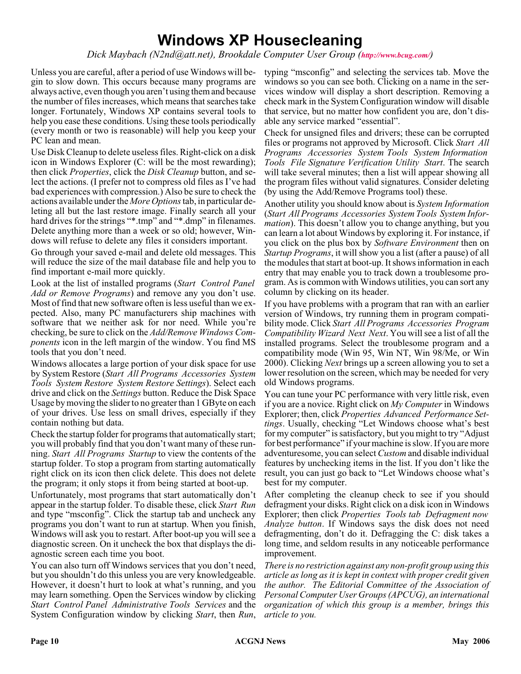# **Windows XP Housecleaning**

*Dick Maybach (N2nd@att.net), Brookdale Computer User Group (<http://www.bcug.com/>)*

Unless you are careful, after a period of use Windows will begin to slow down. This occurs because many programs are always active, even though you aren't using them and because the number of files increases, which means that searches take longer. Fortunately, Windows XP contains several tools to help you ease these conditions. Using these tools periodically (every month or two is reasonable) will help you keep your PC lean and mean.

Use Disk Cleanup to delete useless files. Right-click on a disk icon in Windows Explorer (C: will be the most rewarding); then click *Properties*, click the *Disk Cleanup* button, and select the actions. (I prefer not to compress old files as I've had bad experiences with compression.) Also be sure to check the actions available under the *More Options*tab, in particular deleting all but the last restore image. Finally search all your hard drives for the strings "\*.tmp" and "\*.dmp" in filenames. Delete anything more than a week or so old; however, Windows will refuse to delete any files it considers important.

Go through your saved e-mail and delete old messages. This will reduce the size of the mail database file and help you to find important e-mail more quickly.

Look at the list of installed programs (*Start Control Panel Add or Remove Programs*) and remove any you don't use. Most of find that new software often is less useful than we expected. Also, many PC manufacturers ship machines with software that we neither ask for nor need. While you're checking, be sure to click on the *Add/Remove Windows Components* icon in the left margin of the window. You find MS tools that you don't need.

Windows allocates a large portion of your disk space for use by System Restore (*Start All Programs Accessories System Tools System Restore System Restore Settings*). Select each drive and click on the *Settings* button. Reduce the Disk Space Usage by moving the slider to no greater than 1 GByte on each of your drives. Use less on small drives, especially if they contain nothing but data.

Check the startup folder for programs that automatically start; you will probably find that you don't want many of these running. *Start All Programs Startup* to view the contents of the startup folder. To stop a program from starting automatically right click on its icon then click delete. This does not delete the program; it only stops it from being started at boot-up.

Unfortunately, most programs that start automatically don't appear in the startup folder. To disable these, click *Start Run* and type "msconfig". Click the startup tab and uncheck any programs you don't want to run at startup. When you finish, Windows will ask you to restart. After boot-up you will see a diagnostic screen. On it uncheck the box that displays the diagnostic screen each time you boot.

You can also turn off Windows services that you don't need, but you shouldn't do this unless you are very knowledgeable. However, it doesn't hurt to look at what's running, and you may learn something. Open the Services window by clicking *Start Control Panel Administrative Tools Services* and the System Configuration window by clicking *Start*, then *Run*,

typing "msconfig" and selecting the services tab. Move the windows so you can see both. Clicking on a name in the services window will display a short description. Removing a check mark in the System Configuration window will disable that service, but no matter how confident you are, don't disable any service marked "essential".

Check for unsigned files and drivers; these can be corrupted files or programs not approved by Microsoft. Click *Start All Programs Accessories System Tools System Information Tools File Signature Verification Utility Start*. The search will take several minutes; then a list will appear showing all the program files without valid signatures. Consider deleting (by using the Add/Remove Programs tool) these.

Another utility you should know about is *System Information* (*Start All Programs Accessories System Tools System Information*). This doesn't allow you to change anything, but you can learn a lot about Windows by exploring it. For instance, if you click on the plus box by *Software Environment* then on *Startup Programs*, it will show you a list (after a pause) of all the modules that start at boot-up. It shows information in each entry that may enable you to track down a troublesome program. As is common with Windows utilities, you can sort any column by clicking on its header.

If you have problems with a program that ran with an earlier version of Windows, try running them in program compatibility mode. Click *Start All Programs Accessories Program Compatibility Wizard Next Next*. You will see a list of all the installed programs. Select the troublesome program and a compatibility mode (Win 95, Win NT, Win 98/Me, or Win 2000). Clicking *Next* brings up a screen allowing you to set a lower resolution on the screen, which may be needed for very old Windows programs.

You can tune your PC performance with very little risk, even if you are a novice. Right click on *My Computer* in Windows Explorer; then, click *Properties Advanced Performance Settings*. Usually, checking "Let Windows choose what's best for my computer" is satisfactory, but you might to try "Adjust for best performance" if your machine is slow. If you are more adventuresome, you can select*Custom* and disable individual features by unchecking items in the list. If you don't like the result, you can just go back to "Let Windows choose what's best for my computer.

After completing the cleanup check to see if you should defragment your disks. Right click on a disk icon in Windows Explorer; then click *Properties Tools tab Defragment now Analyze button*. If Windows says the disk does not need defragmenting, don't do it. Defragging the C: disk takes a long time, and seldom results in any noticeable performance improvement.

*There is no restriction against any non-profit group using this article as long as it is kept in context with proper credit given the author. The Editorial Committee of the Association of Personal Computer User Groups (APCUG), an international organization of which this group is a member, brings this article to you.*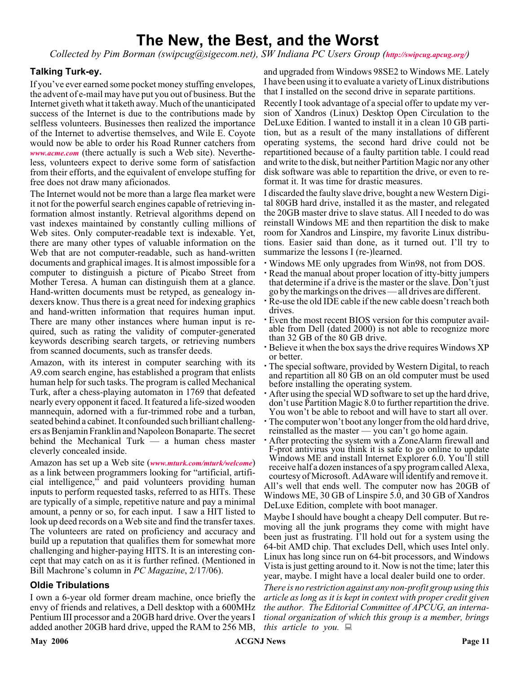# **The New, the Best, and the Worst**

*Collected by Pim Borman (swipcug@sigecom.net), SW Indiana PC Users Group (<http://swipcug.apcug.org/>)*

### **Talking Turk-ey.**

If you've ever earned some pocket money stuffing envelopes, the advent of e-mail may have put you out of business. But the Internet giveth what it taketh away. Much of the unanticipated success of the Internet is due to the contributions made by selfless volunteers. Businesses then realized the importance of the Internet to advertise themselves, and Wile E. Coyote would now be able to order his Road Runner catchers from *[www.acme.com](http://www.acme.com)* (there actually is such a Web site). Nevertheless, volunteers expect to derive some form of satisfaction from their efforts, and the equivalent of envelope stuffing for free does not draw many aficionados.

The Internet would not be more than a large flea market were it not for the powerful search engines capable of retrieving information almost instantly. Retrieval algorithms depend on vast indexes maintained by constantly culling millions of Web sites. Only computer-readable text is indexable. Yet, there are many other types of valuable information on the Web that are not computer-readable, such as hand-written documents and graphical images. It is almost impossible for a computer to distinguish a picture of Picabo Street from Mother Teresa. A human can distinguish them at a glance. Hand-written documents must be retyped, as genealogy indexers know. Thus there is a great need for indexing graphics and hand-written information that requires human input. There are many other instances where human input is required, such as rating the validity of computer-generated keywords describing search targets, or retrieving numbers from scanned documents, such as transfer deeds.

Amazon, with its interest in computer searching with its A9.com search engine, has established a program that enlists human help for such tasks. The program is called Mechanical Turk, after a chess-playing automaton in 1769 that defeated nearly every opponent it faced. It featured a life-sized wooden mannequin, adorned with a fur-trimmed robe and a turban, seated behind a cabinet. It confounded such brilliant challengers as Benjamin Franklin and Napoleon Bonaparte. The secret behind the Mechanical Turk — a human chess master cleverly concealed inside.

Amazon has set up a Web site (*[www.mturk.com/mturk/welcome](http://www.mturk.com/mturk/welcome)*) as a link between programmers looking for "artificial, artificial intelligence," and paid volunteers providing human inputs to perform requested tasks, referred to as HITs. These are typically of a simple, repetitive nature and pay a minimal amount, a penny or so, for each input. I saw a HIT listed to look up deed records on a Web site and find the transfer taxes. The volunteers are rated on proficiency and accuracy and build up a reputation that qualifies them for somewhat more challenging and higher-paying HITS. It is an interesting concept that may catch on as it is further refined. (Mentioned in Bill Machrone's column in *PC Magazine*, 2/17/06).

### **Oldie Tribulations**

I own a 6-year old former dream machine, once briefly the envy of friends and relatives, a Dell desktop with a 600MHz Pentium III processor and a 20GB hard drive. Over the years I added another 20GB hard drive, upped the RAM to 256 MB,

and upgraded from Windows 98SE2 to Windows ME. Lately I have been using it to evaluate a variety of Linux distributions that I installed on the second drive in separate partitions.

Recently I took advantage of a special offer to update my version of Xandros (Linux) Desktop Open Circulation to the DeLuxe Edition. I wanted to install it in a clean 10 GB partition, but as a result of the many installations of different operating systems, the second hard drive could not be repartitioned because of a faulty partition table. I could read and write to the disk, but neither Partition Magic nor any other disk software was able to repartition the drive, or even to reformat it. It was time for drastic measures.

I discarded the faulty slave drive, bought a new Western Digital 80GB hard drive, installed it as the master, and relegated the 20GB master drive to slave status. All I needed to do was reinstall Windows ME and then repartition the disk to make room for Xandros and Linspire, my favorite Linux distributions. Easier said than done, as it turned out. I'll try to summarize the lessons I (re-)learned.

- Windows ME only upgrades from Win98, not from DOS.
- Read the manual about proper location of itty-bitty jumpers that determine if a drive is the master or the slave. Don't just go by the markings on the drives — all drives are different.
- Re-use the old IDE cable if the new cable doesn't reach both drives.
- Even the most recent BIOS version for this computer available from Dell (dated 2000) is not able to recognize more than 32 GB of the 80 GB drive.
- Believe it when the box says the drive requires Windows XP or better.
- - The special software, provided by Western Digital, to reach and repartition all 80 GB on an old computer must be used before installing the operating system.
- After using the special WD software to set up the hard drive, don't use Partition Magic 8.0 to further repartition the drive. You won't be able to reboot and will have to start all over.
- The computer won't boot any longer from the old hard drive, reinstalled as the master — you can't go home again.
- After protecting the system with a ZoneAlarm firewall and F-prot antivirus you think it is safe to go online to update Windows ME and install Internet Explorer 6.0. You'll still receive half a dozen instances of a spy program called Alexa, courtesy of Microsoft. AdAware will identify and remove it. All's well that ends well. The computer now has 20GB of Windows ME, 30 GB of Linspire 5.0, and 30 GB of Xandros DeLuxe Edition, complete with boot manager.

Maybe I should have bought a cheapy Dell computer. But removing all the junk programs they come with might have been just as frustrating. I'll hold out for a system using the 64-bit AMD chip. That excludes Dell, which uses Intel only. Linux has long since run on 64-bit processors, and Windows Vista is just getting around to it. Now is not the time; later this year, maybe. I might have a local dealer build one to order.

*There is no restriction against any non-profit group using this article as long as it is kept in context with proper credit given the author. The Editorial Committee of APCUG, an international organization of which this group is a member, brings this article to you.*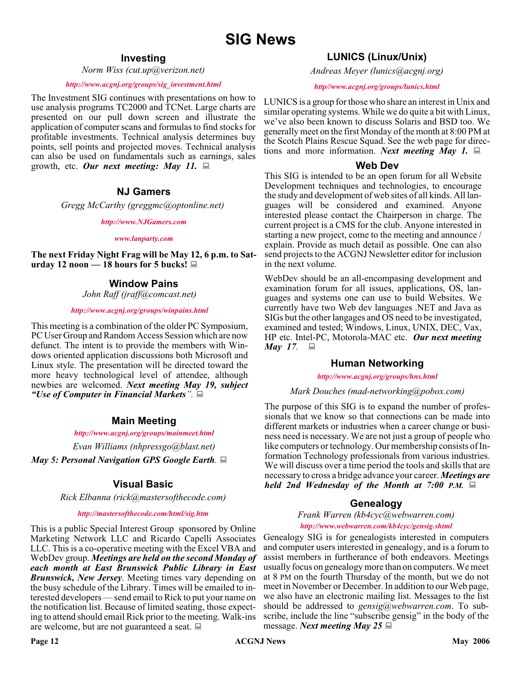# **Investing**

*Norm Wiss (cut.up@verizon.net)*

#### *[http://www.acgnj.org/groups/sig\\_investment.html](http://www.acgnj.org/groups/sig_investment.html)*

The Investment SIG continues with presentations on how to use analysis programs TC2000 and TCNet. Large charts are presented on our pull down screen and illustrate the application of computer scans and formulas to find stocks for profitable investments. Technical analysis determines buy points, sell points and projected moves. Technical analysis can also be used on fundamentals such as earnings, sales growth, etc. *Our next meeting: May 11.*

# **NJ Gamers**

*Gregg McCarthy (greggmc@optonline.net)*

*<http://www.NJGamers.com>*

*[www.lanparty.com](http://www.lanparty.com)*

**The next Friday Night Frag will be May 12, 6 p.m. to Saturday 12 noon — 18 hours for 5 bucks!**

# **Window Pains**

*John Raff (jraff@comcast.net)*

#### *<http://www.acgnj.org/groups/winpains.html>*

This meeting is a combination of the older PC Symposium, PC User Group and Random Access Session which are now defunct. The intent is to provide the members with Windows oriented application discussions both Microsoft and Linux style. The presentation will be directed toward the more heavy technological level of attendee, although newbies are welcomed. *Next meeting May 19, subject "Use of Computer in Financial Markets".*

# **Main Meeting**

#### *<http://www.acgnj.org/groups/mainmeet.html>*

*Evan Williams (nhpressgo@blast.net)*

*May 5: Personal Navigation GPS Google Earth.*

# **Visual Basic**

*Rick Elbanna (rick@mastersofthecode.com)*

#### *<http://mastersofthecode.com/html/sig.htm>*

This is a public Special Interest Group sponsored by Online Marketing Network LLC and Ricardo Capelli Associates LLC. This is a co-operative meeting with the Excel VBA and WebDev group. *Meetings are held on the second Monday of each month at East Brunswick Public Library in East Brunswick, New Jersey*. Meeting times vary depending on the busy schedule of the Library. Times will be emailed to interested developers — send email to Rick to put your name on the notification list. Because of limited seating, those expecting to attend should email Rick prior to the meeting. Walk-ins are welcome, but are not guaranteed a seat.

# **LUNICS (Linux/Unix)**

*Andreas Meyer (lunics@acgnj.org)*

#### *<http//www.acgnj.org/groups/lunics.html>*

LUNICS is a group for those who share an interest in Unix and similar operating systems. While we do quite a bit with Linux, we've also been known to discuss Solaris and BSD too. We generally meet on the first Monday of the month at 8:00 PM at the Scotch Plains Rescue Squad. See the web page for directions and more information. *Next meeting May 1*.  $\Box$ 

### **Web Dev**

This SIG is intended to be an open forum for all Website Development techniques and technologies, to encourage the study and development of web sites of all kinds. All languages will be considered and examined. Anyone interested please contact the Chairperson in charge. The current project is a CMS for the club. Anyone interested in starting a new project, come to the meeting and announce / explain. Provide as much detail as possible. One can also send projects to the ACGNJ Newsletter editor for inclusion in the next volume.

WebDev should be an all-encompasing development and examination forum for all issues, applications, OS, languages and systems one can use to build Websites. We currently have two Web dev languages .NET and Java as SIGs but the other langages and OS need to be investigated, examined and tested; Windows, Linux, UNIX, DEC, Vax, HP etc. Intel-PC, Motorola-MAC etc. *Our next meeting May* 17. **■** 

# **Human Networking**

*<http://www.acgnj.org/groups/hns.html>*

#### *Mark Douches (mad-networking@pobox.com)*

The purpose of this SIG is to expand the number of professionals that we know so that connections can be made into different markets or industries when a career change or business need is necessary. We are not just a group of people who like computers or technology. Our membership consists of Information Technology professionals from various industries. We will discuss over a time period the tools and skills that are necessary to cross a bridge advance your career. *Meetings are held 2nd Wednesday of the Month at 7:00 P.M.*

# **Genealogy**

*Frank Warren (kb4cyc@webwarren.com) <http://www.webwarren.com/kb4cyc/gensig.shtml>*

Genealogy SIG is for genealogists interested in computers and computer users interested in genealogy, and is a forum to assist members in furtherance of both endeavors. Meetings usually focus on genealogy more than on computers. We meet at 8 PM on the fourth Thursday of the month, but we do not meet in November or December. In addition to our Web page, we also have an electronic mailing list. Messages to the list should be addressed to *gensig@webwarren.com*. To subscribe, include the line "subscribe gensig" in the body of the message. *Next meeting May 25*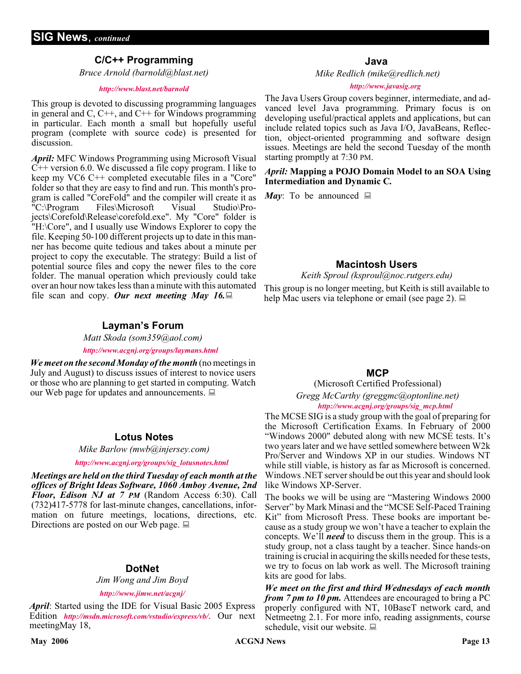# **C/C++ Programming**

*Bruce Arnold (barnold@blast.net)*

#### *<http://www.blast.net/barnold>*

This group is devoted to discussing programming languages in general and  $C$ ,  $C++$ , and  $C++$  for Windows programming in particular. Each month a small but hopefully useful program (complete with source code) is presented for discussion.

*April:* MFC Windows Programming using Microsoft Visual  $C++$  version 6.0. We discussed a file copy program. I like to keep my VC6 C++ completed executable files in a "Core" folder so that they are easy to find and run. This month's program is called "CoreFold" and the compiler will create it as "C:\Program Files\Microsoft Visual Studio\Projects\Corefold\Release\corefold.exe". My "Core" folder is "H:\Core", and I usually use Windows Explorer to copy the file. Keeping 50-100 different projects up to date in this manner has become quite tedious and takes about a minute per project to copy the executable. The strategy: Build a list of potential source files and copy the newer files to the core folder. The manual operation which previously could take over an hour now takes less than a minute with this automated file scan and copy. Our next meeting May 16.

# **Layman's Forum**

*Matt Skoda (som359@aol.com) <http://www.acgnj.org/groups/laymans.html>*

*We meet on the second Monday of the month* (no meetings in July and August) to discuss issues of interest to novice users or those who are planning to get started in computing. Watch our Web page for updates and announcements.  $\Box$ 

#### **Lotus Notes**

*Mike Barlow (mwb@injersey.com)*

*[http://www.acgnj.org/groups/sig\\_lotusnotes.html](http://www.acgnj.org/groups/sig_lotusnotes.html)*

*Meetings are held on the third Tuesday of each month at the offices of Bright Ideas Software, 1060 Amboy Avenue, 2nd Floor, Edison NJ at 7 PM* (Random Access 6:30). Call (732)417-5778 for last-minute changes, cancellations, information on future meetings, locations, directions, etc. Directions are posted on our Web page.  $\Box$ 

#### **DotNet**

*Jim Wong and Jim Boyd*

#### *<http://www.jimw.net/acgnj/>*

*April*: Started using the IDE for Visual Basic 2005 Express Edition *<http://msdn.microsoft.com/vstudio/express/vb/>*. Our next meetingMay 18,

*Mike Redlich (mike@redlich.net)*

#### *<http://www.javasig.org>*

The Java Users Group covers beginner, intermediate, and advanced level Java programming. Primary focus is on developing useful/practical applets and applications, but can include related topics such as Java I/O, JavaBeans, Reflection, object-oriented programming and software design issues. Meetings are held the second Tuesday of the month starting promptly at 7:30 PM.

#### *April:* **Mapping a POJO Domain Model to an SOA Using Intermediation and Dynamic C***.*

*May*: To be announced  $\Box$ 

## **Macintosh Users**

*Keith Sproul (ksproul@noc.rutgers.edu)*

This group is no longer meeting, but Keith is still available to help Mac users via telephone or email (see page 2).  $\Box$ 

### **MCP**

(Microsoft Certified Professional) *Gregg McCarthy (greggmc@optonline.net) [http://www.acgnj.org/groups/sig\\_mcp.html](http://www.acgnj.org/groups/sig_mcp.html)*

The MCSE SIG is a study group with the goal of preparing for the Microsoft Certification Exams. In February of 2000 "Windows 2000" debuted along with new MCSE tests. It's two years later and we have settled somewhere between W2k Pro/Server and Windows XP in our studies. Windows NT while still viable, is history as far as Microsoft is concerned. Windows .NET server should be out this year and should look like Windows XP-Server.

The books we will be using are "Mastering Windows 2000 Server" by Mark Minasi and the "MCSE Self-Paced Training Kit" from Microsoft Press. These books are important because as a study group we won't have a teacher to explain the concepts. We'll *need* to discuss them in the group. This is a study group, not a class taught by a teacher. Since hands-on training is crucial in acquiring the skills needed for these tests, we try to focus on lab work as well. The Microsoft training kits are good for labs.

*We meet on the first and third Wednesdays of each month from 7 pm to 10 pm.* Attendees are encouraged to bring a PC properly configured with NT, 10BaseT network card, and Netmeetng 2.1. For more info, reading assignments, course schedule, visit our website.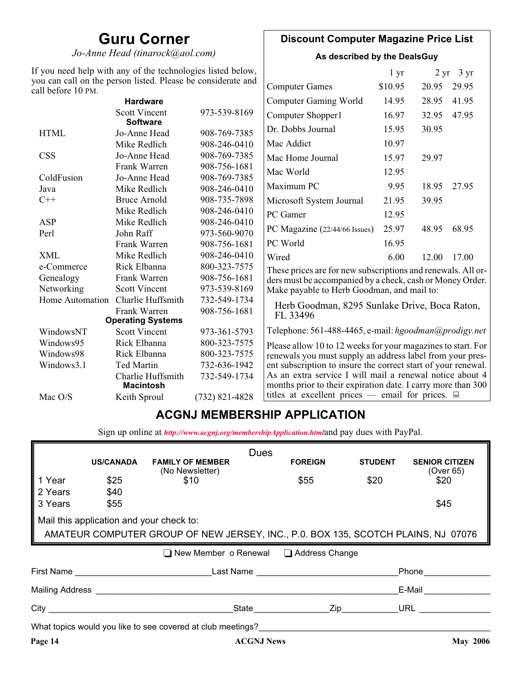# **Guru Corner**

*Jo-Anne Head (tinarock@aol.com)*

# **Discount Computer Magazine Price List**

**As described by the DealsGuy**

| If you need help with any of the technologies listed below,<br>you can call on the person listed. Please be considerate and |                                         |                  |                                                                                                                          | 1 <sub>yr</sub> |       | $2 \text{ yr}$ 3 yr |
|-----------------------------------------------------------------------------------------------------------------------------|-----------------------------------------|------------------|--------------------------------------------------------------------------------------------------------------------------|-----------------|-------|---------------------|
| call before 10 PM.                                                                                                          |                                         |                  | <b>Computer Games</b>                                                                                                    | \$10.95         | 20.95 | 29.95               |
|                                                                                                                             | <b>Hardware</b>                         |                  | <b>Computer Gaming World</b>                                                                                             | 14.95           | 28.95 | 41.95               |
|                                                                                                                             | <b>Scott Vincent</b><br><b>Software</b> | 973-539-8169     | Computer Shopper1                                                                                                        | 16.97           | 32.95 | 47.95               |
| <b>HTML</b>                                                                                                                 | Jo-Anne Head                            | 908-769-7385     | Dr. Dobbs Journal                                                                                                        | 15.95           | 30.95 |                     |
|                                                                                                                             | Mike Redlich                            | 908-246-0410     | Mac Addict                                                                                                               | 10.97           |       |                     |
| <b>CSS</b>                                                                                                                  | Jo-Anne Head                            | 908-769-7385     | Mac Home Journal                                                                                                         | 15.97           | 29.97 |                     |
|                                                                                                                             | Frank Warren                            | 908-756-1681     | Mac World                                                                                                                | 12.95           |       |                     |
| ColdFusion                                                                                                                  | Jo-Anne Head                            | 908-769-7385     |                                                                                                                          |                 |       |                     |
| Java                                                                                                                        | Mike Redlich                            | 908-246-0410     | Maximum PC                                                                                                               | 9.95            | 18.95 | 27.95               |
| $C++$                                                                                                                       | <b>Bruce Arnold</b>                     | 908-735-7898     | Microsoft System Journal                                                                                                 | 21.95           | 39.95 |                     |
|                                                                                                                             | Mike Redlich                            | 908-246-0410     | PC Gamer                                                                                                                 | 12.95           |       |                     |
| ASP                                                                                                                         | Mike Redlich                            | 908-246-0410     |                                                                                                                          | 25.97           |       | 68.95               |
| Perl                                                                                                                        | John Raff                               | 973-560-9070     | PC Magazine (22/44/66 Issues)                                                                                            |                 | 48.95 |                     |
|                                                                                                                             | Frank Warren                            | 908-756-1681     | PC World                                                                                                                 | 16.95           |       |                     |
| <b>XML</b>                                                                                                                  | Mike Redlich                            | 908-246-0410     | Wired                                                                                                                    | 6.00            | 12.00 | 17.00               |
| e-Commerce                                                                                                                  | Rick Elbanna                            | 800-323-7575     | These prices are for new subscriptions and renewals. All or-                                                             |                 |       |                     |
| Genealogy                                                                                                                   | Frank Warren                            | 908-756-1681     | ders must be accompanied by a check, cash or Money Order.                                                                |                 |       |                     |
| Networking                                                                                                                  | <b>Scott Vincent</b>                    | 973-539-8169     | Make payable to Herb Goodman, and mail to:                                                                               |                 |       |                     |
| Home Automation                                                                                                             | Charlie Huffsmith                       | 732-549-1734     | Herb Goodman, 8295 Sunlake Drive, Boca Raton,                                                                            |                 |       |                     |
|                                                                                                                             | Frank Warren                            | 908-756-1681     | FL 33496                                                                                                                 |                 |       |                     |
|                                                                                                                             | <b>Operating Systems</b>                |                  |                                                                                                                          |                 |       |                     |
| WindowsNT                                                                                                                   | <b>Scott Vincent</b>                    | 973-361-5793     | Telephone: 561-488-4465, e-mail: hgoodman@prodigy.net                                                                    |                 |       |                     |
| Windows95                                                                                                                   | Rick Elbanna                            | 800-323-7575     | Please allow 10 to 12 weeks for your magazines to start. For                                                             |                 |       |                     |
| Windows98                                                                                                                   | Rick Elbanna                            | 800-323-7575     | renewals you must supply an address label from your pres-                                                                |                 |       |                     |
| Windows3.1                                                                                                                  | <b>Ted Martin</b>                       | 732-636-1942     | ent subscription to insure the correct start of your renewal.                                                            |                 |       |                     |
|                                                                                                                             | Charlie Huffsmith<br><b>Macintosh</b>   | 732-549-1734     | As an extra service I will mail a renewal notice about 4<br>months prior to their expiration date. I carry more than 300 |                 |       |                     |
| Mac O/S                                                                                                                     | Keith Sproul                            | $(732)$ 821-4828 | titles at excellent prices — email for prices. $\Box$                                                                    |                 |       |                     |

# **ACGNJ MEMBERSHIP APPLICATION**

Sign up online at *[http://www.acgnj.org/membershipApplication.html](http://www.acgnj.org/membershipApplication.html )*and pay dues with PayPal.

|                                                                                   |                                          |                                                                                                                                                                                                                                                                                             | <b>Dues</b>          |                |                |                                    |  |
|-----------------------------------------------------------------------------------|------------------------------------------|---------------------------------------------------------------------------------------------------------------------------------------------------------------------------------------------------------------------------------------------------------------------------------------------|----------------------|----------------|----------------|------------------------------------|--|
|                                                                                   | <b>US/CANADA</b>                         | <b>FAMILY OF MEMBER</b><br>(No Newsletter)                                                                                                                                                                                                                                                  |                      | <b>FOREIGN</b> | <b>STUDENT</b> | <b>SENIOR CITIZEN</b><br>(Over 65) |  |
| 1 Year                                                                            | \$25                                     | \$10                                                                                                                                                                                                                                                                                        |                      | \$55           | \$20           | \$20                               |  |
| 2 Years                                                                           | \$40                                     |                                                                                                                                                                                                                                                                                             |                      |                |                |                                    |  |
| 3 Years                                                                           | \$55                                     |                                                                                                                                                                                                                                                                                             |                      |                |                | \$45                               |  |
|                                                                                   | Mail this application and your check to: |                                                                                                                                                                                                                                                                                             |                      |                |                |                                    |  |
| AMATEUR COMPUTER GROUP OF NEW JERSEY, INC., P.0. BOX 135, SCOTCH PLAINS, NJ 07076 |                                          |                                                                                                                                                                                                                                                                                             |                      |                |                |                                    |  |
|                                                                                   |                                          |                                                                                                                                                                                                                                                                                             |                      |                |                |                                    |  |
|                                                                                   |                                          | ■ New Member o Renewal ■ Address Change                                                                                                                                                                                                                                                     |                      |                |                |                                    |  |
|                                                                                   |                                          | First Name <b>Example 2018</b> Last Name <b>Land America</b>                                                                                                                                                                                                                                |                      |                |                | Phone                              |  |
|                                                                                   |                                          | Mailing Address <b>Mailing</b> Address <b>Mailing</b> Address <b>Mailing</b> Address <b>Mailing</b> Address <b>Mailing</b> Address <b>Mailing</b> Address <b>Mailing</b> Address <b>Mailing</b> Address <b>Mailing</b> Address <b>Mailing</b> Address <b>Mailing</b> Address <b>Mailing</b> |                      |                |                | E-Mail                             |  |
|                                                                                   |                                          |                                                                                                                                                                                                                                                                                             | State <b>Zip Zip</b> |                |                | URL $\qquad \qquad \qquad$         |  |
|                                                                                   |                                          | What topics would you like to see covered at club meetings?                                                                                                                                                                                                                                 |                      |                |                |                                    |  |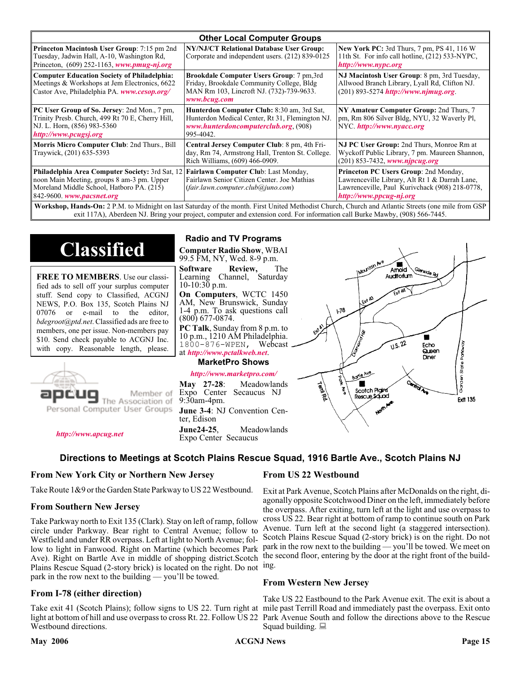| <b>Other Local Computer Groups</b>                                                                                                                                             |                                                                                                                                                    |                                                                                                                                                                                                                                                                                                                         |  |  |  |
|--------------------------------------------------------------------------------------------------------------------------------------------------------------------------------|----------------------------------------------------------------------------------------------------------------------------------------------------|-------------------------------------------------------------------------------------------------------------------------------------------------------------------------------------------------------------------------------------------------------------------------------------------------------------------------|--|--|--|
| <b>Princeton Macintosh User Group:</b> 7:15 pm 2nd<br>Tuesday, Jadwin Hall, A-10, Washington Rd,<br>Princeton, $(609)$ 252-1163, www.pmug-nj.org                               | NY/NJ/CT Relational Database User Group:<br>Corporate and independent users. (212) 839-0125                                                        | <b>New York PC:</b> 3rd Thurs, 7 pm, PS 41, 116 W<br>11th St. For info call hotline, (212) 533-NYPC,<br>http://www.nypc.org                                                                                                                                                                                             |  |  |  |
| <b>Computer Education Society of Philadelphia:</b><br>Meetings & Workshops at Jem Electronics, 6622<br>Castor Ave, Philadelphia PA. www.cesop.org/                             | Brookdale Computer Users Group: 7 pm,3rd<br>Friday, Brookdale Community College, Bldg<br>MAN Rm 103, Lincroft NJ. (732)-739-9633.<br>www.bcug.com  | NJ Macintosh User Group: 8 pm, 3rd Tuesday,<br>Allwood Branch Library, Lyall Rd, Clifton NJ.<br>$(201)$ 893-5274 http://www.njmug.org.                                                                                                                                                                                  |  |  |  |
| PC User Group of So. Jersey: 2nd Mon., 7 pm,<br>Trinity Presb. Church, 499 Rt 70 E, Cherry Hill,<br>NJ. L. Horn, (856) 983-5360<br>http://www.pcugsj.org                       | Hunterdon Computer Club: 8:30 am, 3rd Sat,<br>Hunterdon Medical Center, Rt 31, Flemington NJ.<br>www.hunterdoncomputerclub.org. (908)<br>995-4042. | NY Amateur Computer Group: 2nd Thurs, 7<br>pm, Rm 806 Silver Bldg, NYU, 32 Waverly Pl,<br>NYC http://www.nyacc.org                                                                                                                                                                                                      |  |  |  |
| Morris Micro Computer Club: 2nd Thurs., Bill<br>Traywick, (201) 635-5393                                                                                                       | Central Jersey Computer Club: 8 pm, 4th Fri-<br>day, Rm 74, Armstrong Hall, Trenton St. College.<br>Rich Williams, (609) 466-0909.                 | NJ PC User Group: 2nd Thurs, Monroe Rm at<br>Wyckoff Public Library, 7 pm. Maureen Shannon,<br>$(201)$ 853-7432, www.njpcug.org                                                                                                                                                                                         |  |  |  |
| <b>Philadelphia Area Computer Society: 3rd Sat, 12</b><br>noon Main Meeting, groups 8 am-3 pm. Upper<br>Moreland Middle School, Hatboro PA. (215)<br>842-9600. www.pacsnet.org | Fairlawn Computer Club: Last Monday,<br>Fairlawn Senior Citizen Center. Joe Mathias<br>(fair.lawn.computer.club@juno.com)                          | Princeton PC Users Group: 2nd Monday,<br>Lawrenceville Library, Alt Rt 1 & Darrah Lane,<br>Lawrenceville, Paul Kurivchack (908) 218-0778,<br>http://www.ppcug-nj.org<br>Workshap Hands-On: 2 PM to Midnight on last Saturday of the month First United Methodist Church Church and Atlantic Streets (one mile from GSP) |  |  |  |

P.M. to Midnight on last Saturday of the month. First United Methodist Church, Church and Atlantic Streets exit 117A), Aberdeen NJ. Bring your project, computer and extension cord. For information call Burke Mawby, (908) 566-7445.

# **Classified**

**FREE TO MEMBERS**. Use our classified ads to sell off your surplus computer stuff. Send copy to Classified, ACGNJ NEWS, P.O. Box 135, Scotch Plains NJ 07076 or e-mail to the editor, *bdegroot@ptd.net*. Classified ads are free to members, one per issue. Non-members pay \$10. Send check payable to ACGNJ Inc. with copy. Reasonable length, please.



# Member of

#### *<http://www.apcug.net>*

# **Radio and TV Programs**

**Computer Radio Show**, WBAI 99.5 FM, NY, Wed. 8-9 p.m.

**Software Review,** The Learning Channel, Saturday  $10-10:30$  p.m.

**On Computers**, WCTC 1450 AM, New Brunswick, Sunday 1-4 p.m. To ask questions call (800) 677-0874.

**PC Talk**, Sunday from 8 p.m. to 10 p.m., 1210 AM Philadelphia. 1800-876-WPEN, Webcast at *<http://www.pctalkweb.net>*.

#### **MarketPro Shows**

## *<http://www.marketpro.com/>*

**May 27-28**: Meadowlands Expo Center Secaucus NJ 9:30am-4pm. **June 3-4**: NJ Convention Center, Edison **June24-25**, Meadowlands Expo Center Secaucus



### **Directions to Meetings at Scotch Plains Rescue Squad, 1916 Bartle Ave., Scotch Plains NJ**

#### **From New York City or Northern New Jersey**

Take Route 1&9 or the Garden State Parkway to US 22 Westbound.

#### **From Southern New Jersey**

Take Parkway north to Exit 135 (Clark). Stay on left of ramp, follow circle under Parkway. Bear right to Central Avenue; follow to Westfield and under RR overpass. Left at light to North Avenue; follow to light in Fanwood. Right on Martine (which becomes Park Ave). Right on Bartle Ave in middle of shopping district.Scotch Plains Rescue Squad (2-story brick) is located on the right. Do not ing. park in the row next to the building — you'll be towed.

#### **From I-78 (either direction)**

Take exit 41 (Scotch Plains); follow signs to US 22. Turn right at mile past Terrill Road and immediately past the overpass. Exit onto light at bottom of hill and use overpass to cross Rt. 22. Follow US 22 Park Avenue South and follow the directions above to the Rescue Westbound directions.

### **From US 22 Westbound**

Exit at Park Avenue, Scotch Plains after McDonalds on the right, diagonally opposite Scotchwood Diner on the left, immediately before the overpass. After exiting, turn left at the light and use overpass to cross US 22. Bear right at bottom of ramp to continue south on Park Avenue. Turn left at the second light (a staggered intersection). Scotch Plains Rescue Squad (2-story brick) is on the right. Do not park in the row next to the building — you'll be towed. We meet on the second floor, entering by the door at the right front of the build-

#### **From Western New Jersey**

Take US 22 Eastbound to the Park Avenue exit. The exit is about a Squad building.  $\Box$ 

#### **May 2006 ACGNJ News Page 15**